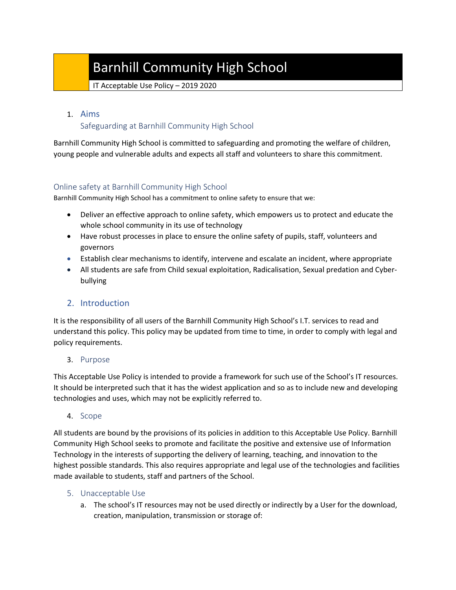# Barnhill Community High School

IT Acceptable Use Policy – 2019 2020

### 1. Aims

## Safeguarding at Barnhill Community High School

Barnhill Community High School is committed to safeguarding and promoting the welfare of children, young people and vulnerable adults and expects all staff and volunteers to share this commitment.

#### Online safety at Barnhill Community High School

Barnhill Community High School has a commitment to online safety to ensure that we:

- Deliver an effective approach to online safety, which empowers us to protect and educate the whole school community in its use of technology
- Have robust processes in place to ensure the online safety of pupils, staff, volunteers and governors
- Establish clear mechanisms to identify, intervene and escalate an incident, where appropriate
- All students are safe from Child sexual exploitation, Radicalisation, Sexual predation and Cyberbullying

## 2. Introduction

It is the responsibility of all users of the Barnhill Community High School's I.T. services to read and understand this policy. This policy may be updated from time to time, in order to comply with legal and policy requirements.

#### 3. Purpose

This Acceptable Use Policy is intended to provide a framework for such use of the School's IT resources. It should be interpreted such that it has the widest application and so as to include new and developing technologies and uses, which may not be explicitly referred to.

#### 4. Scope

All students are bound by the provisions of its policies in addition to this Acceptable Use Policy. Barnhill Community High School seeks to promote and facilitate the positive and extensive use of Information Technology in the interests of supporting the delivery of learning, teaching, and innovation to the highest possible standards. This also requires appropriate and legal use of the technologies and facilities made available to students, staff and partners of the School.

## 5. Unacceptable Use

a. The school's IT resources may not be used directly or indirectly by a User for the download, creation, manipulation, transmission or storage of: